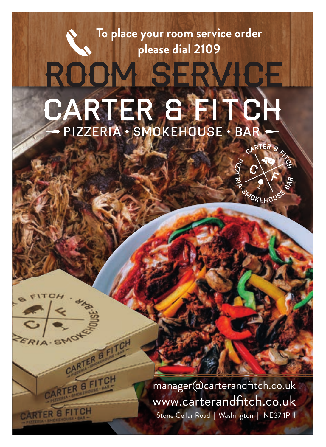# **To place your room service order please dial 2109** ROOM SERVICE CARTER S FITC **ANGLY**

 $FRIA.$ S

CARTER & FITCH

CARTER B FI

CARTER & FITCH

manager@carterandfitch.co.uk www.carterandfitch.co.uk Stone Cellar Road | Washington | NE37 1PH

CARTER 8

**BANDKEHOL**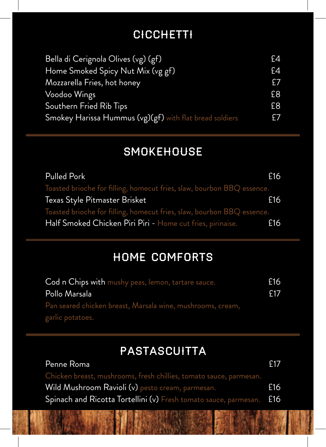### **CICCHETTI**

| Bella di Cerignola Olives (vg) (gf)                     | £4 |
|---------------------------------------------------------|----|
| Home Smoked Spicy Nut Mix (vg gf)                       | E4 |
| Mozzarella Fries, hot honey                             | £7 |
| Voodoo Wings                                            | £8 |
| Southern Fried Rib Tips                                 | £8 |
| Smokey Harissa Hummus (vg)(gf) with flat bread soldiers | £7 |

### **SMOKEHOUSE**

| Pulled Pork                                                            | £16 |
|------------------------------------------------------------------------|-----|
| Toasted brioche for filling, homecut fries, slaw, bourbon BBQ essence. |     |
| Texas Style Pitmaster Brisket                                          | £16 |
| Toasted brioche for filling, homecut fries, slaw, bourbon BBQ essence. |     |
| Half Smoked Chicken Piri Piri - Home cut fries, pirinaise.             | £16 |

### Home Comforts

| Cod n Chips with mushy peas, lemon, tartare sauce.         | £16 |
|------------------------------------------------------------|-----|
| Pollo Marsala                                              | f17 |
| Pan seared chicken breast, Marsala wine, mushrooms, cream, |     |
| garlic potatoes.                                           |     |

### **PASTASCUITTA**

| Penne Roma                                                           | f17 |
|----------------------------------------------------------------------|-----|
| Chicken breast, mushrooms, fresh chillies, tomato sauce, parmesan.   |     |
| Wild Mushroom Ravioli (v) pesto cream, parmesan.                     | £16 |
| Spinach and Ricotta Tortellini (v) Fresh tomato sauce, parmesan. E16 |     |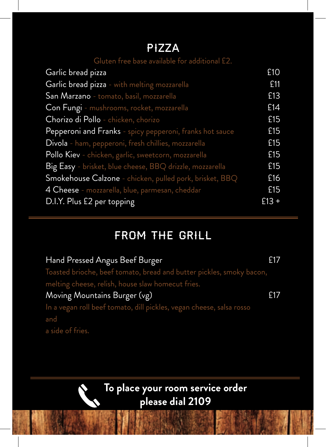#### Pizza

| Gluten free base available for additional £2.                                   |         |
|---------------------------------------------------------------------------------|---------|
| Garlic bread pizza                                                              | £10     |
| Garlic bread pizza - with melting mozzarella                                    | £11     |
| <b>San Marzano</b> - tomato, basil, mozzarella                                  | £13     |
| Con Fungi - mushrooms, rocket, mozzarella                                       | £14     |
| Chorizo di Pollo - chicken, chorizo                                             | £15     |
| Pepperoni and Franks - spicy pepperoni, franks hot sauce                        | £15     |
| Divola - ham, pepperoni, fresh chillies, mozzarella                             | £15     |
| Pollo Kiev - chicken, garlic, sweetcorn, mozzarella                             | £15     |
| Big Easy - brisket, blue cheese, BBQ drizzle, mozzarella                        | £15     |
| ${\sf Smokehouse}$ ${\sf Calzone}$ - chicken, pulled pork, brisket, ${\sf BBQ}$ | £16     |
| <b>4 Cheese</b> - mozzarella, blue, parmesan, cheddar                           | £15     |
| D.I.Y. Plus £2 per topping                                                      | $£13 +$ |
|                                                                                 |         |

## From The Grill

| Hand Pressed Angus Beef Burger                                       | £17 |
|----------------------------------------------------------------------|-----|
| Toasted brioche, beef tomato, bread and butter pickles, smoky bacon, |     |
| melting cheese, relish, house slaw homecut fries.                    |     |
| Moving Mountains Burger (vg)                                         | £17 |
| In a vegan roll beef tomato, dill pickles, vegan cheese, salsa rosso |     |
| and                                                                  |     |
| a side of fries.                                                     |     |

#### **To place your room service order please dial 2109**